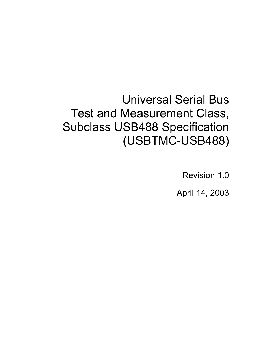# Universal Serial Bus Test and Measurement Class, Subclass USB488 Specification (USBTMC-USB488)

Revision 1.0

April 14, 2003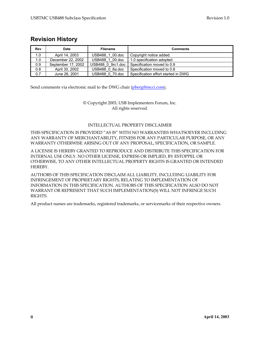# **Revision History**

| Rev | Date               | <b>Filename</b>                                 | <b>Comments</b>                     |
|-----|--------------------|-------------------------------------------------|-------------------------------------|
| 1.0 | April 14, 2003     | USB488 1 00.doc<br>Copyright notice added.      |                                     |
| 1.0 | December 22, 2002  | USB488 1 00.doc                                 | 1.0 specification adopted           |
| 0.9 | September 17, 2002 | Specification moved to 0.9<br>USB488 0 9rc1.doc |                                     |
| 0.8 | April 30, 2002     | USB488 0 8a.doc                                 | Specification moved to 0.8          |
| 0.7 | June 26, 2001      | USB488 0 70.doc                                 | Specification effort started in DWG |

Send comments via electronic mail to the DWG chair (pberg@mcci.com).

© Copyright 2003, USB Implementers Forum, Inc. All rights reserved.

#### INTELLECTUAL PROPERTY DISCLAIMER

THIS SPECIFICATION IS PROVIDED "AS IS" WITH NO WARRANTIES WHATSOEVER INCLUDING ANY WARRANTY OF MERCHANTABILITY, FITNESS FOR ANY PARTICULAR PURPOSE, OR ANY WARRANTY OTHERWISE ARISING OUT OF ANY PROPOSAL, SPECIFICATION, OR SAMPLE.

A LICENSE IS HEREBY GRANTED TO REPRODUCE AND DISTRIBUTE THIS SPECIFICATION FOR INTERNAL USE ONLY. NO OTHER LICENSE, EXPRESS OR IMPLIED, BY ESTOPPEL OR OTHERWISE, TO ANY OTHER INTELLECTUAL PROPERTY RIGHTS IS GRANTED OR INTENDED HEREBY.

AUTHORS OF THIS SPECIFICATION DISCLAIM ALL LIABILITY, INCLUDING LIABILITY FOR INFRINGEMENT OF PROPRIETARY RIGHTS, RELATING TO IMPLEMENTATION OF INFORMATION IN THIS SPECIFICATION. AUTHORS OF THIS SPECIFICATION ALSO DO NOT WARRANT OR REPRESENT THAT SUCH IMPLEMENTATION(S) WILL NOT INFRINGE SUCH RIGHTS.

All product names are trademarks, registered trademarks, or servicemarks of their respective owners.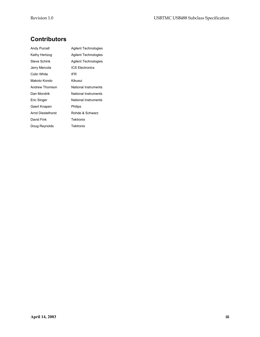# **Contributors**

| Andy Purcell      | Agilent Technologies        |
|-------------------|-----------------------------|
| Kathy Hertzog     | <b>Agilent Technologies</b> |
| Steve Schink      | <b>Agilent Technologies</b> |
| Jerry Mercola     | <b>ICS Electronics</b>      |
| Colin White       | IFR                         |
| Makoto Kondo      | Kikusui                     |
| Andrew Thomson    | National Instruments        |
| Dan Mondrik       | National Instruments        |
| Eric Singer       | National Instruments        |
| Geert Knapen      | Philips                     |
| Arnd Diestelhorst | Rohde & Schwarz             |
| David Fink        | Tektronix                   |
| Doug Reynolds     | Tektronix                   |
|                   |                             |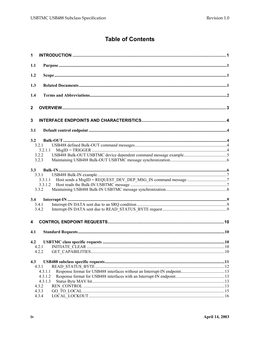# **Table of Contents**

| 1            |                |  |
|--------------|----------------|--|
| 1.1          |                |  |
| 1.2          |                |  |
| 1.3          |                |  |
| 1.4          |                |  |
| $\mathbf{2}$ |                |  |
| 3            |                |  |
| 3.1          |                |  |
| 3.2          |                |  |
|              | 3.2.1          |  |
|              | 3.2.1.1        |  |
|              | 3.2.2          |  |
|              | 3.2.3          |  |
|              |                |  |
| 3.3          | 3.3.1          |  |
|              | 3.3.1.1        |  |
|              | 3.3.1.2        |  |
|              | 3.3.2          |  |
|              |                |  |
| 3.4          |                |  |
|              | 3.4.1          |  |
|              | 3.4.2          |  |
| 4            |                |  |
| 4.1          |                |  |
| 4.2          |                |  |
|              | 4.2.1          |  |
|              | 4.2.2          |  |
|              |                |  |
| 4.3          |                |  |
|              | 4.3.1          |  |
|              | 4.3.1.1        |  |
|              | 4.3.1.2        |  |
|              | 4.3.1.3        |  |
|              | 4.3.2<br>4.3.3 |  |
|              | 4.3.4          |  |
|              |                |  |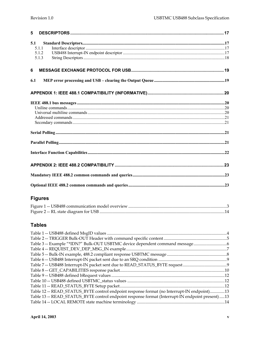| 5                              |  |
|--------------------------------|--|
| 5.1<br>5.1.1<br>5.1.2<br>5.1.3 |  |
| 6                              |  |
| 6.1                            |  |
|                                |  |
|                                |  |
|                                |  |
|                                |  |
|                                |  |
|                                |  |
|                                |  |
|                                |  |

# **Figures**

# **Tables**

| Table 12 -- READ_STATUS_BYTE control endpoint response format (no Interrupt-IN endpoint)13      |  |
|-------------------------------------------------------------------------------------------------|--|
| Table 13 -- READ_STATUS_BYTE control endpoint response format (Interrupt-IN endpoint present)13 |  |
|                                                                                                 |  |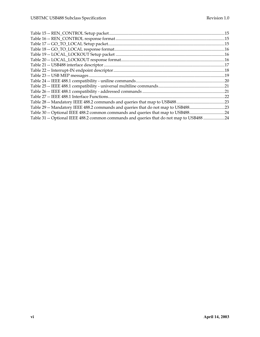| Table 29 -- Mandatory IEEE 488.2 commands and queries that do not map to USB48823        |  |
|------------------------------------------------------------------------------------------|--|
| Table 30 -- Optional IEEE 488.2 common commands and queries that map to USB48824         |  |
| Table 31 -- Optional IEEE 488.2 common commands and queries that do not map to USB488 24 |  |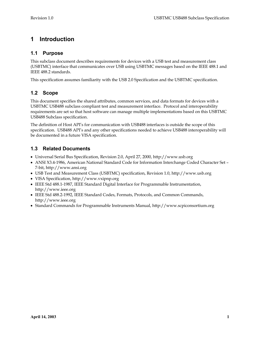# **1 Introduction**

# **1.1 Purpose**

This subclass document describes requirements for devices with a USB test and measurement class (USBTMC) interface that communicates over USB using USBTMC messages based on the IEEE 488.1 and IEEE 488.2 standards.

This specification assumes familiarity with the USB 2.0 Specification and the USBTMC specification.

# **1.2 Scope**

This document specifies the shared attributes, common services, and data formats for devices with a USBTMC USB488 subclass compliant test and measurement interface. Protocol and interoperability requirements are set so that host software can manage multiple implementations based on this USBTMC USB488 Subclass specification.

The definition of Host API's for communication with USB488 interfaces is outside the scope of this specification. USB488 API's and any other specifications needed to achieve USB488 interoperability will be documented in a future VISA specification.

# **1.3 Related Documents**

- Universal Serial Bus Specification, Revision 2.0, April 27, 2000, http://www.usb.org
- ANSI X3.4-1986, American National Standard Code for Information Interchange Coded Character Set 7-bit, http://www.ansi.org
- USB Test and Measurement Class (USBTMC) specification, Revision 1.0, http://www.usb.org
- VISA Specification, http://www.vxipnp.org
- IEEE Std 488.1-1987, IEEE Standard Digital Interface for Programmable Instrumentation, http://www.ieee.org
- IEEE Std 488.2-1992, IEEE Standard Codes, Formats, Protocols, and Common Commands, http://www.ieee.org
- Standard Commands for Programmable Instruments Manual, http://www.scpiconsortium.org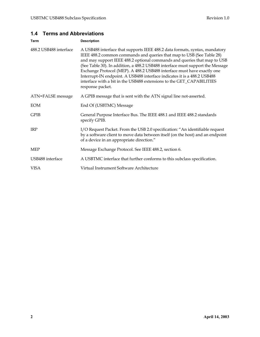# **1.4 Terms and Abbreviations**

| <b>Term</b>            | <b>Description</b>                                                                                                                                                                                                                                                                                                                                                                                                                                                                                                                                                     |  |
|------------------------|------------------------------------------------------------------------------------------------------------------------------------------------------------------------------------------------------------------------------------------------------------------------------------------------------------------------------------------------------------------------------------------------------------------------------------------------------------------------------------------------------------------------------------------------------------------------|--|
| 488.2 USB488 interface | A USB488 interface that supports IEEE 488.2 data formats, syntax, mandatory<br>IEEE 488.2 common commands and queries that map to USB (See Table 28)<br>and may support IEEE 488.2 optional commands and queries that map to USB<br>(See Table 30). In addition, a 488.2 USB488 interface must support the Message<br>Exchange Protocol (MEP). A 488.2 USB488 interface must have exactly one<br>Interrupt-IN endpoint. A USB488 interface indicates it is a 488.2 USB488<br>interface with a bit in the USB488 extensions to the GET_CAPABILITIES<br>response packet. |  |
| ATN=FALSE message      | A GPIB message that is sent with the ATN signal line not-asserted.                                                                                                                                                                                                                                                                                                                                                                                                                                                                                                     |  |
| EOM                    | End Of (USBTMC) Message                                                                                                                                                                                                                                                                                                                                                                                                                                                                                                                                                |  |
| <b>GPIB</b>            | General Purpose Interface Bus. The IEEE 488.1 and IEEE 488.2 standards<br>specify GPIB.                                                                                                                                                                                                                                                                                                                                                                                                                                                                                |  |
| <b>IRP</b>             | I/O Request Packet. From the USB 2.0 specification: "An identifiable request<br>by a software client to move data between itself (on the host) and an endpoint<br>of a device in an appropriate direction."                                                                                                                                                                                                                                                                                                                                                            |  |
| MEP                    | Message Exchange Protocol. See IEEE 488.2, section 6.                                                                                                                                                                                                                                                                                                                                                                                                                                                                                                                  |  |
| USB488 interface       | A USBTMC interface that further conforms to this subclass specification.                                                                                                                                                                                                                                                                                                                                                                                                                                                                                               |  |
| VISA                   | Virtual Instrument Software Architecture                                                                                                                                                                                                                                                                                                                                                                                                                                                                                                                               |  |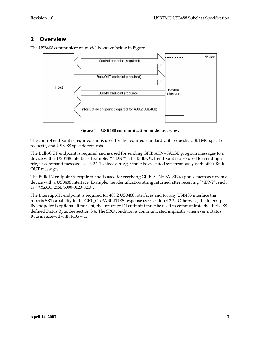# **2 Overview**



The USB488 communication model is shown below in Figure 1.

**Figure 1 -- USB488 communication model overview** 

The control endpoint is required and is used for the required standard USB requests, USBTMC specific requests, and USB488 specific requests.

The Bulk-OUT endpoint is required and is used for sending GPIB ATN=FALSE program messages to a device with a USB488 interface. Example: "\*IDN?". The Bulk-OUT endpoint is also used for sending a trigger command message (see 3.2.1.1), since a trigger must be executed synchronously with other Bulk-OUT messages.

The Bulk-IN endpoint is required and is used for receiving GPIB ATN=FALSE response messages from a device with a USB488 interface. Example: the identification string returned after receiving "\*IDN?", such as "XYZCO,246B,S000-0123-02,0".

The Interrupt-IN endpoint is required for 488.2 USB488 interfaces and for any USB488 interface that reports SR1 capability in the GET\_CAPABILITIES response (See section 4.2.2). Otherwise, the Interrupt-IN endpoint is optional. If present, the Interrupt-IN endpoint must be used to communicate the IEEE 488 defined Status Byte. See section 3.4. The SRQ condition is communicated implicitly whenever a Status Byte is received with RQS = 1.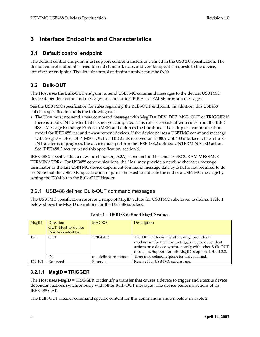# **3 Interface Endpoints and Characteristics**

#### **3.1 Default control endpoint**

The default control endpoint must support control transfers as defined in the USB 2.0 specification. The default control endpoint is used to send standard, class, and vendor-specific requests to the device, interface, or endpoint. The default control endpoint number must be 0x00.

# **3.2 Bulk-OUT**

The Host uses the Bulk-OUT endpoint to send USBTMC command messages to the device. USBTMC device dependent command messages are similar to GPIB ATN=FALSE program messages.

See the USBTMC specification for rules regarding the Bulk-OUT endpoint. In addition, this USB488 subclass specification adds the following rule:

• The Host must not send a new command message with MsgID = DEV\_DEP\_MSG\_OUT or TRIGGER if there is a Bulk-IN transfer that has not yet completed. This rule is consistent with rules from the IEEE 488.2 Message Exchange Protocol (MEP) and enforces the traditional "half-duplex" communication model for IEEE 488 test and measurement devices. If the device parses a USBTMC command message with MsgID = DEV\_DEP\_MSG\_OUT or TRIGGER received on a 488.2 USB488 interface while a Bulk-IN transfer is in progress, the device must perform the IEEE 488.2 defined UNTERMINATED action. See IEEE 488.2 section 6 and this specification, section 6.1.

IEEE 488.2 specifies that a newline character, 0x0A, is one method to send a <PROGRAM MESSAGE TERMINATOR>. For USB488 communications, the Host may provide a newline character message terminator as the last USBTMC device dependent command message data byte but is not required to do so. Note that the USBTMC specification requires the Host to indicate the end of a USBTMC message by setting the EOM bit in the Bulk-OUT Header.

# 3.2.1 USB488 defined Bulk-OUT command messages

The USBTMC specification reserves a range of MsgID values for USBTMC subclasses to define. Table 1 below shows the MsgID definitions for the USB488 subclass.

| <b>MsgID</b> | Direction<br>OUT=Host-to-device<br>IN=Device-to-Host | <b>MACRO</b>          | Description                                                                                                                                                                                                       |
|--------------|------------------------------------------------------|-----------------------|-------------------------------------------------------------------------------------------------------------------------------------------------------------------------------------------------------------------|
| 128          | <b>OUT</b>                                           | <b>TRIGGER</b>        | The TRIGGER command message provides a<br>mechanism for the Host to trigger device dependent<br>actions on a device synchronously with other Bulk-OUT<br>messages. Support for this MsgID is optional. See 4.2.2. |
|              | IN                                                   | (no defined response) | There is no defined response for this command.                                                                                                                                                                    |
| 129-191      | Reserved                                             | Reserved              | Reserved for USBTMC subclass use.                                                                                                                                                                                 |

| Table 1 -- USB488 defined MsgID values |  |  |
|----------------------------------------|--|--|
|----------------------------------------|--|--|

#### **3.2.1.1 MsgID = TRIGGER**

The Host uses MsgID = TRIGGER to identify a transfer that causes a device to trigger and execute device dependent actions synchronously with other Bulk-OUT messages. The device performs actions of an IEEE 488 GET.

The Bulk-OUT Header command specific content for this command is shown below in Table 2.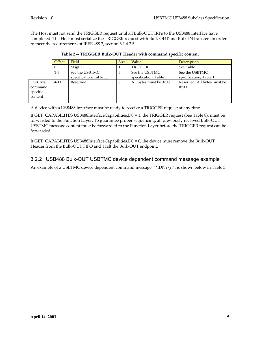The Host must not send the TRIGGER request until all Bulk-OUT IRPs to the USB488 interface have completed. The Host must serialize the TRIGGER request with Bulk-OUT and Bulk-IN transfers in order to meet the requirements of IEEE 488.2, section 6.1.4.2.5.

|                                                 | Offset   | Field                                     | <b>Size</b> | Value                                     | Description                               |
|-------------------------------------------------|----------|-------------------------------------------|-------------|-------------------------------------------|-------------------------------------------|
|                                                 | $\Omega$ | MsgID                                     |             | TRIGGER                                   | See Table 1.                              |
|                                                 | $1-3$    | See the USBTMC<br>specification, Table 1. | 3           | See the USBTMC<br>specification, Table 1. | See the USBTMC<br>specification, Table 1. |
| <b>USBTMC</b><br>command<br>specific<br>content | $4 - 11$ | Reserved                                  | 8           | All bytes must be 0x00.                   | Reserved. All bytes must be<br>$0x00$ .   |

|  |  | Table 2 -- TRIGGER Bulk-OUT Header with command specific content |
|--|--|------------------------------------------------------------------|
|--|--|------------------------------------------------------------------|

A device with a USB488 interface must be ready to receive a TRIGGER request at any time.

If GET\_CAPABILITES USB488InterfaceCapabilities.D0 = 1, the TRIGGER request (See Table 8), must be forwarded to the Function Layer. To guarantee proper sequencing, all previously received Bulk-OUT USBTMC message content must be forwarded to the Function Layer before the TRIGGER request can be forwarded.

If GET\_CAPABILITES USB488InterfaceCapabilities.D0 = 0, the device must remove the Bulk-OUT Header from the Bulk-OUT FIFO and Halt the Bulk-OUT endpoint.

# 3.2.2 USB488 Bulk-OUT USBTMC device dependent command message example

An example of a USBTMC device dependent command message, "\*IDN?\n", is shown below in Table 3.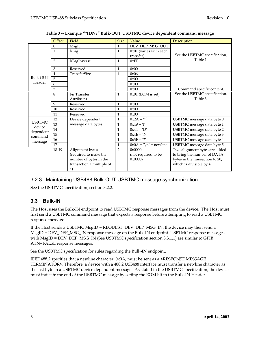|                                                            | Offset         | Field                                                                                                 | <b>Size</b>    | Value                                   | Description                                                                                                                 |  |  |
|------------------------------------------------------------|----------------|-------------------------------------------------------------------------------------------------------|----------------|-----------------------------------------|-----------------------------------------------------------------------------------------------------------------------------|--|--|
|                                                            | $\theta$       | <b>MsgID</b>                                                                                          | 1              | DEV_DEP_MSG_OUT                         |                                                                                                                             |  |  |
|                                                            | $\mathbf{1}$   | bTag                                                                                                  | $\mathbf{1}$   | 0x01 (varies with each<br>transfer)     | See the USBTMC specification,                                                                                               |  |  |
|                                                            | 2              | bTagInverse                                                                                           | $\mathbf{1}$   | 0xFE                                    | Table 1.                                                                                                                    |  |  |
|                                                            | 3              | Reserved                                                                                              | 1              | 0x00                                    |                                                                                                                             |  |  |
|                                                            | $\overline{4}$ | TransferSize                                                                                          | $\overline{4}$ | 0x06                                    |                                                                                                                             |  |  |
| Bulk-OUT                                                   |                |                                                                                                       |                | 0x00                                    |                                                                                                                             |  |  |
| Header                                                     | 6              |                                                                                                       |                | 0x00                                    |                                                                                                                             |  |  |
|                                                            | 7              |                                                                                                       |                | 0x00                                    | Command specific content.                                                                                                   |  |  |
|                                                            | 8              | bmTransfer                                                                                            | 1              | $0x01$ (EOM is set).                    | See the USBTMC specification,                                                                                               |  |  |
|                                                            |                | Attributes                                                                                            |                |                                         | Table 3.                                                                                                                    |  |  |
|                                                            | 9              | Reserved                                                                                              | $\mathbf 1$    | 0x00                                    |                                                                                                                             |  |  |
|                                                            | 10             | Reserved                                                                                              | $\mathbf 1$    | 0x00                                    |                                                                                                                             |  |  |
|                                                            | 11             | Reserved                                                                                              | 1              | 0x00                                    |                                                                                                                             |  |  |
| <b>USBTMC</b><br>device<br>dependent<br>command<br>message | 12             | Device dependent                                                                                      | 1              | $0x2A = \sqrt{x}$                       | USBTMC message data byte 0.                                                                                                 |  |  |
|                                                            | 13             | message data bytes                                                                                    | 1              | $0x49 = 'I'$                            | USBTMC message data byte 1.                                                                                                 |  |  |
|                                                            | 14             |                                                                                                       | 1              | $0x44 = 'D'$                            | USBTMC message data byte 2.                                                                                                 |  |  |
|                                                            | 15             |                                                                                                       | 1              | $0x4E = 'N'$                            | USBTMC message data byte 3.                                                                                                 |  |  |
|                                                            | 16             |                                                                                                       | $\mathbf{1}$   | $0x3F = ?'$                             | USBTMC message data byte 4.                                                                                                 |  |  |
|                                                            | 17             |                                                                                                       | $\mathbf{1}$   | $0x0A = \ln^{-1}$ = newline             | USBTMC message data byte 5.                                                                                                 |  |  |
|                                                            | 18-19          | Alignment bytes<br>(required to make the<br>number of bytes in the<br>transaction a multiple of<br>4) | $\overline{2}$ | 0x0000<br>(not required to be<br>0x0000 | Two alignment bytes are added<br>to bring the number of DATA<br>bytes in the transaction to 20,<br>which is divisible by 4. |  |  |

#### **Table 3 -- Example "\*IDN?" Bulk-OUT USBTMC device dependent command message**

### 3.2.3 Maintaining USB488 Bulk-OUT USBTMC message synchronization

See the USBTMC specification, section 3.2.2.

### **3.3 Bulk-IN**

The Host uses the Bulk-IN endpoint to read USBTMC response messages from the device. The Host must first send a USBTMC command message that expects a response before attempting to read a USBTMC response message.

If the Host sends a USBTMC MsgID = REQUEST\_DEV\_DEP\_MSG\_IN, the device may then send a MsgID = DEV\_DEP\_MSG\_IN response message on the Bulk-IN endpoint. USBTMC response messages with MsgID = DEV\_DEP\_MSG\_IN (See USBTMC specification section 3.3.1.1) are similar to GPIB ATN=FALSE response messages.

See the USBTMC specification for rules regarding the Bulk-IN endpoint.

IEEE 488.2 specifies that a newline character, 0x0A, must be sent as a <RESPONSE MESSAGE TERMINATOR>. Therefore, a device with a 488.2 USB488 interface must transfer a newline character as the last byte in a USBTMC device dependent message. As stated in the USBTMC specification, the device must indicate the end of the USBTMC message by setting the EOM bit in the Bulk-IN Header.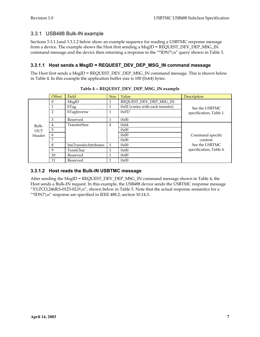# 3.3.1 USB488 Bulk-IN example

Sections 3.3.1.1and 3.3.1.2 below show an example sequence for reading a USBTMC response message from a device. The example shows the Host first sending a MsgID = REQUEST\_DEV\_DEP\_MSG\_IN command message and the device then returning a response to the "\*IDN?\n" query shown in Table 3.

### **3.3.1.1 Host sends a MsgID = REQUEST\_DEV\_DEP\_MSG\_IN command message**

The Host first sends a MsgID = REQUEST\_DEV\_DEP\_MSG\_IN command message. This is shown below in Table 4. In this example the application buffer size is 100 (0x64) bytes.

|            | Offset | Field                | <b>Size</b> | Value                              | Description             |  |
|------------|--------|----------------------|-------------|------------------------------------|-------------------------|--|
|            | 0      | MsgID                |             | REQUEST_DEV_DEP_MSG_IN             |                         |  |
|            |        | bTag                 |             | $0x02$ (varies with each transfer) | See the USBTMC          |  |
|            | 2      | bTagInverse          |             | 0xFD                               | specification, Table 1. |  |
|            | 3      | Reserved             |             | 0x00                               |                         |  |
| Bulk-      | 4      | TransferSize         | 4           | 0x64                               |                         |  |
| <b>OUT</b> | 5      |                      |             | 0x00                               |                         |  |
| Header     | 6      |                      |             | 0x00                               | Command specific        |  |
|            | 7      |                      |             | 0x00                               | content.                |  |
|            | 8      | bmTransferAttributes |             | 0x00                               | See the USBTMC          |  |
|            | 9      | TermChar             |             | 0x00                               | specification, Table 4. |  |
|            | 10     | Reserved             |             | 0x00                               |                         |  |
|            | 11     | Reserved             |             | 0x00                               |                         |  |

#### **Table 4 -- REQUEST\_DEV\_DEP\_MSG\_IN example**

## **3.3.1.2 Host reads the Bulk-IN USBTMC message**

After sending the MsgID = REOUEST\_DEV\_DEP\_MSG\_IN command message shown in Table 4, the Host sends a Bulk-IN request. In this example, the USB488 device sends the USBTMC response message "XYZCO,246B,S-0123-02,0\n", shown below in Table 5. Note that the actual response semantics for a "\*IDN?\n" response are specified in IEEE 488.2, section 10.14.3.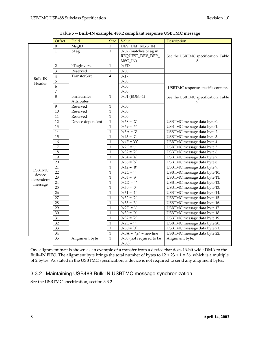|               | Offset                  | Field            | <b>Size</b>    | Value                            | Description                         |
|---------------|-------------------------|------------------|----------------|----------------------------------|-------------------------------------|
|               | $\overline{0}$          | MsgID            | $\mathbf{1}$   | DEV_DEP_MSG_IN                   |                                     |
|               | $\mathbf{1}$            | bTag             | $\mathbf{1}$   | $0x02$ (matches bTag in          |                                     |
|               |                         |                  |                | REQUEST_DEV_DEP_                 | See the USBTMC specification, Table |
|               |                         |                  |                | MSG_IN)                          | 8.                                  |
|               | 2                       | bTagInverse      | $\mathbf{1}$   | 0xFD                             |                                     |
|               | 3                       | Reserved         | $\mathbf{1}$   | 0x00                             |                                     |
| Bulk-IN       | $\overline{\mathbf{4}}$ | TransferSize     | $\overline{4}$ | 0x17                             |                                     |
| Header        | 5                       |                  |                | 0x00                             |                                     |
|               | 6                       |                  |                | 0x00                             | USBTMC response specific content.   |
|               | 7                       |                  |                | 0x00                             |                                     |
|               | $\overline{8}$          | bmTransfer       | $\mathbf{1}$   | $0x01$ (EOM=1)                   | See the USBTMC specification, Table |
|               |                         | Attributes       |                |                                  | 9.                                  |
|               | 9                       | Reserved         | $\mathbf{1}$   | 0x00                             |                                     |
|               | 10                      | Reserved         | $\mathbf{1}$   | 0x00                             |                                     |
|               | 11                      | Reserved         | $\mathbf 1$    | 0x00                             |                                     |
|               | 12                      | Device dependent | $\mathbf 1$    | $0x58 = 'X'$                     | USBTMC message data byte 0.         |
|               | 13                      |                  | $\mathbf{1}$   | $0x59 = 'Y'$                     | USBTMC message data byte 1.         |
|               | 14                      |                  | $\mathbf{1}$   | $0x5A = 'Z'$                     | USBTMC message data byte 2.         |
|               | $\overline{15}$         |                  | $\mathbf{1}$   | $0x43 = 'C'$                     | USBTMC message data byte 3.         |
|               | 16                      |                  | $\mathbf{1}$   | $0x4F = 'O'$                     | USBTMC message data byte 4.         |
|               | 17                      |                  | $\mathbf{1}$   | $0x2C = '$                       | USBTMC message data byte 5.         |
|               | 18                      |                  | $\mathbf{1}$   | $0x32 = '2'$                     | USBTMC message data byte 6.         |
|               | 19                      |                  | $\mathbf{1}$   | $0x34 = 4'$                      | USBTMC message data byte 7.         |
|               | 20                      |                  | $\mathbf{1}$   | $0x36 = 6'$                      | USBTMC message data byte 8.         |
| <b>USBTMC</b> | 21                      |                  | $\mathbf{1}$   | $0x42 = 'B'$                     | USBTMC message data byte 9.         |
| device        | $\overline{22}$         |                  | $\mathbf{1}$   | $0x2C = '$                       | USBTMC message data byte 10.        |
| dependent     | 23                      |                  | $\mathbf{1}$   | $0x53 = 'S'$                     | USBTMC message data byte 11.        |
| message       | 24                      |                  | $\mathbf{1}$   | $0x2D = '-'$                     | USBTMC message data byte 12.        |
|               | 25                      |                  | $\mathbf{1}$   | $0x30 = '0'$                     | USBTMC message data byte 13.        |
|               | 26                      |                  | $\mathbf{1}$   | $0x31 = '1'$                     | USBTMC message data byte 14.        |
|               | 27                      |                  | $\mathbf{1}$   | $0x32 = '2'$                     | USBTMC message data byte 15.        |
|               | 28                      |                  | $\mathbf{1}$   | $0x33 = '3'$                     | USBTMC message data byte 16.        |
|               | 29                      |                  | $\mathbf{1}$   | $0x2D = '-'$                     | USBTMC message data byte 17.        |
|               | 30                      |                  | $\mathbf{1}$   | $0x30 = 0'$                      | USBTMC message data byte 18.        |
|               | 31                      |                  | $\mathbf{1}$   | $0x32 = '2'$                     | USBTMC message data byte 19.        |
|               | $\overline{32}$         |                  | $\mathbf{1}$   | $0x2C = '$                       | USBTMC message data byte 20.        |
|               | 33                      |                  | $\mathbf{1}$   | $0x30 = 0'$                      | USBTMC message data byte 21.        |
|               | 34                      |                  | $\mathbf 1$    | $0x0A = \sqrt{n'}$ = newline     | USBTMC message data byte 22.        |
|               | 35                      | Alignment byte   | $\mathbf{1}$   | 0x00 (not required to be<br>0x00 | Alignment byte.                     |

One alignment byte is shown as an example of a transfer from a device that does 16-bit wide DMA to the Bulk-IN FIFO. The alignment byte brings the total number of bytes to  $12 + 23 + 1 = 36$ , which is a multiple of 2 bytes. As stated in the USBTMC specification, a device is not required to send any alignment bytes.

### 3.3.2 Maintaining USB488 Bulk-IN USBTMC message synchronization

See the USBTMC specification, section 3.3.2.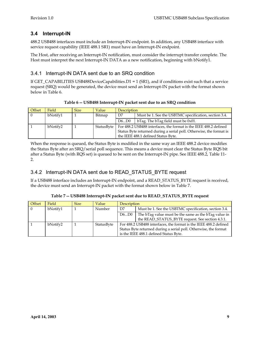# **3.4 Interrupt-IN**

488.2 USB488 interfaces must include an Interrupt-IN endpoint. In addition, any USB488 interface with service request capability (IEEE 488.1 SR1) must have an Interrupt-IN endpoint.

The Host, after receiving an Interrupt-IN notification, must consider the interrupt transfer complete. The Host must interpret the next Interrupt-IN DATA as a new notification, beginning with bNotify1.

## 3.4.1 Interrupt-IN DATA sent due to an SRQ condition

If GET\_CAPABILITIES USB488DeviceCapabilities.D1 = 1 (SR1), and if conditions exist such that a service request (SRQ) would be generated, the device must send an Interrupt-IN packet with the format shown below in Table 6.

| Offset   | Field    | <b>Size</b> | Value      | <b>Description</b>                                                  |                                                       |
|----------|----------|-------------|------------|---------------------------------------------------------------------|-------------------------------------------------------|
| $\Omega$ | bNotify1 |             | Bitmap     | D7                                                                  | Must be 1. See the USBTMC specification, section 3.4. |
|          |          |             |            | D6D0                                                                | bTag. The bTag field must be $0x01$ .                 |
|          | bNotify2 |             | StatusByte | For 488.2 USB488 interfaces, the format is the IEEE 488.2 defined   |                                                       |
|          |          |             |            | Status Byte returned during a serial poll. Otherwise, the format is |                                                       |
|          |          |             |            |                                                                     | the IEEE 488.1 defined Status Byte.                   |

**Table 6 -- USB488 Interrupt-IN packet sent due to an SRQ condition** 

When the response is queued, the Status Byte is modified in the same way an IEEE 488.2 device modifies the Status Byte after an SRQ/serial poll sequence. This means a device must clear the Status Byte RQS bit after a Status Byte (with RQS set) is queued to be sent on the Interrupt-IN pipe. See IEEE 488.2, Table 11- 2.

# 3.4.2 Interrupt-IN DATA sent due to READ\_STATUS\_BYTE request

If a USB488 interface includes an Interrupt-IN endpoint, and a READ\_STATUS\_BYTE request is received, the device must send an Interrupt-IN packet with the format shown below in Table 7.

| Offset | Field    | <b>Size</b> | Value      | <b>Description</b>                                                                                                                                                              |                                                                                                          |
|--------|----------|-------------|------------|---------------------------------------------------------------------------------------------------------------------------------------------------------------------------------|----------------------------------------------------------------------------------------------------------|
|        | bNotify1 |             | Number     | D7                                                                                                                                                                              | Must be 1. See the USBTMC specification, section 3.4.                                                    |
|        |          |             |            | D6D0                                                                                                                                                                            | The bTag value must be the same as the bTag value in<br>the READ_STATUS_BYTE request. See section 4.3.1. |
|        | bNotify2 |             | StatusByte | For 488.2 USB488 interfaces, the format is the IEEE 488.2 defined<br>Status Byte returned during a serial poll. Otherwise, the format<br>is the IEEE 488.1 defined Status Byte. |                                                                                                          |

**Table 7 -- USB488 Interrupt-IN packet sent due to READ\_STATUS\_BYTE request**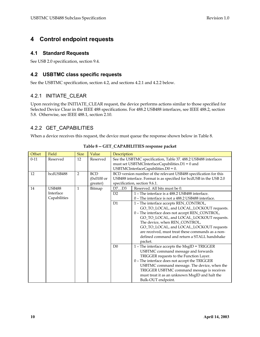# **4 Control endpoint requests**

#### **4.1 Standard Requests**

See USB 2.0 specification, section 9.4.

### **4.2 USBTMC class specific requests**

See the USBTMC specification, section 4.2, and sections 4.2.1 and 4.2.2 below.

# 4.2.1 INITIATE\_CLEAR

Upon receiving the INITIATE\_CLEAR request, the device performs actions similar to those specified for Selected Device Clear in the IEEE 488 specifications. For 488.2 USB488 interfaces, see IEEE 488.2, section 5.8. Otherwise, see IEEE 488.1, section 2.10.

# 4.2.2 GET\_CAPABILITIES

When a device receives this request, the device must queue the response shown below in Table 8.

| Offset   | Field         | <b>Size</b>    | Value        | Description                                     |                                                                    |
|----------|---------------|----------------|--------------|-------------------------------------------------|--------------------------------------------------------------------|
| $0 - 11$ | Reserved      | 12             | Reserved     |                                                 | See the USBTMC specification, Table 37. 488.2 USB488 interfaces    |
|          |               |                |              | must set USBTMCInterfaceCapabilities.D1 = 0 and |                                                                    |
|          |               |                |              | USBTMCInterfaceCapabilities. $D0 = 0$ .         |                                                                    |
| 12       | bcdUSB488     | $\overline{2}$ | <b>BCD</b>   |                                                 | BCD version number of the relevant USB488 specification for this   |
|          |               |                | $(0x0100$ or |                                                 | USB488 interface. Format is as specified for bcdUSB in the USB 2.0 |
|          |               |                | greater)     |                                                 | specification, section 9.6.1.                                      |
| 14       | <b>USB488</b> | 1              | Bitmap       | D7D3                                            | Reserved. All bits must be 0.                                      |
|          | Interface     |                |              | D2                                              | 1 - The interface is a 488.2 USB488 interface.                     |
|          | Capabilities  |                |              |                                                 | 0 – The interface is not a 488.2 USB488 interface.                 |
|          |               |                |              | D <sub>1</sub>                                  | 1 - The interface accepts REN_CONTROL,                             |
|          |               |                |              |                                                 | GO_TO_LOCAL, and LOCAL_LOCKOUT requests.                           |
|          |               |                |              |                                                 | 0 - The interface does not accept REN_CONTROL,                     |
|          |               |                |              |                                                 | GO_TO_LOCAL, and LOCAL_LOCKOUT requests.                           |
|          |               |                |              |                                                 | The device, when REN_CONTROL,                                      |
|          |               |                |              |                                                 | GO_TO_LOCAL, and LOCAL_LOCKOUT requests                            |
|          |               |                |              |                                                 | are received, must treat these commands as a non-                  |
|          |               |                |              |                                                 | defined command and return a STALL handshake                       |
|          |               |                |              |                                                 | packet.                                                            |
|          |               |                |              | D <sub>0</sub>                                  | 1 - The interface accepts the MsgID = TRIGGER                      |
|          |               |                |              |                                                 | USBTMC command message and forwards                                |
|          |               |                |              |                                                 | TRIGGER requests to the Function Layer.                            |
|          |               |                |              |                                                 | 0 - The interface does not accept the TRIGGER                      |
|          |               |                |              |                                                 | USBTMC command message. The device, when the                       |
|          |               |                |              |                                                 | TRIGGER USBTMC command message is receives                         |
|          |               |                |              |                                                 | must treat it as an unknown MsgID and halt the                     |
|          |               |                |              |                                                 | Bulk-OUT endpoint.                                                 |

#### **Table 8 -- GET\_CAPABILITIES response packet**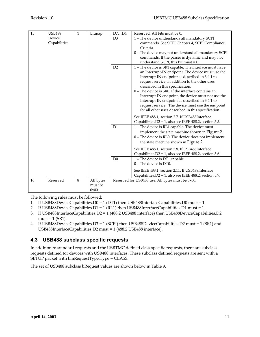| 15 | <b>USB488</b> | $\mathbf{1}$ | Bitmap    | D7D4           | Reserved. All bits must be 0.                          |
|----|---------------|--------------|-----------|----------------|--------------------------------------------------------|
|    | Device        |              |           | D <sub>3</sub> | 1 - The device understands all mandatory SCPI          |
|    | Capabilities  |              |           |                | commands. See SCPI Chapter 4, SCPI Compliance          |
|    |               |              |           |                | Criteria.                                              |
|    |               |              |           |                | 0 - The device may not understand all mandatory SCPI   |
|    |               |              |           |                | commands. If the parser is dynamic and may not         |
|    |               |              |           |                | understand SCPI, this bit must = $0$ .                 |
|    |               |              |           | D2             | 1 - The device is SR1 capable. The interface must have |
|    |               |              |           |                | an Interrupt-IN endpoint. The device must use the      |
|    |               |              |           |                | Interrupt-IN endpoint as described in 3.4.1 to         |
|    |               |              |           |                | request service, in addition to the other uses         |
|    |               |              |           |                | described in this specification.                       |
|    |               |              |           |                | 0 - The device is SR0. If the interface contains an    |
|    |               |              |           |                | Interrupt-IN endpoint, the device must not use the     |
|    |               |              |           |                | Interrupt-IN endpoint as described in 3.4.1 to         |
|    |               |              |           |                | request service. The device must use the endpoint      |
|    |               |              |           |                | for all other uses described in this specification.    |
|    |               |              |           |                | See IEEE 488.1, section 2.7. If USB488Interface        |
|    |               |              |           |                | Capabilities.D2 = 1, also see IEEE 488.2, section 5.5. |
|    |               |              |           | D1             | 1 - The device is RL1 capable. The device must         |
|    |               |              |           |                | implement the state machine shown in Figure 2.         |
|    |               |              |           |                | 0 - The device is RL0. The device does not implement   |
|    |               |              |           |                | the state machine shown in Figure 2.                   |
|    |               |              |           |                | See IEEE 488.1, section 2.8. If USB488Interface        |
|    |               |              |           |                | Capabilities.D2 = 1, also see IEEE 488.2, section 5.6. |
|    |               |              |           | D <sub>0</sub> | 1 - The device is DT1 capable.                         |
|    |               |              |           |                | $0$ – The device is DT $0$ .                           |
|    |               |              |           |                | See IEEE 488.1, section 2.11. If USB488Interface       |
|    |               |              |           |                | Capabilities.D2 = 1, also see IEEE 488.2, section 5.9. |
| 16 | Reserved      | 8            | All bytes |                | Reserved for USB488 use. All bytes must be 0x00.       |
|    |               |              | must be   |                |                                                        |
|    |               |              | 0x00.     |                |                                                        |

The following rules must be followed:

- 1. If USB488DeviceCapabilities.D0 = 1 (DT1) then USB488InterfaceCapabilities.D0 must = 1.
- 2. If USB488DeviceCapabilities.D1 = 1 (RL1) then USB488InterfaceCapabilities.D1 must = 1.
- 3. If USB488InterfaceCapabilities.D2 = 1 (488.2 USB488 interface) then USB488DeviceCapabilities.D2  $must = 1$  (SR1).
- 4. If USB488DeviceCapabilities.D3 = 1 (SCPI) then USB488DeviceCapabilities.D2 must = 1 (SR1) and USB488InterfaceCapabilities.D2 must = 1 (488.2 USB488 interface).

# **4.3 USB488 subclass specific requests**

In addition to standard requests and the USBTMC defined class specific requests, there are subclass requests defined for devices with USB488 interfaces. These subclass defined requests are sent with a SETUP packet with bmRequestType.Type = CLASS.

The set of USB488 subclass bRequest values are shown below in Table 9.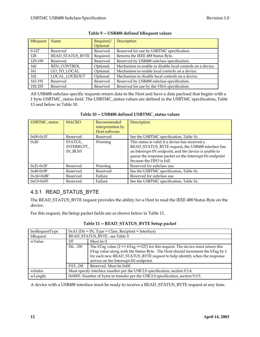| bRequest <sup>1</sup> | Name                    | Required/ | Description                                                |
|-----------------------|-------------------------|-----------|------------------------------------------------------------|
|                       |                         | Optional  |                                                            |
| $0-127$               | Reserved                | Reserved  | Reserved for use by USBTMC specification.                  |
| 128                   | <b>READ STATUS BYTE</b> | Required. | Returns the IEEE 488 Status Byte.                          |
| 129-159               | Reserved                | Reserved  | Reserved by USB488 subclass specification.                 |
| 160                   | <b>REN_CONTROL</b>      | Optional. | Mechanism to enable or disable local controls on a device. |
| 161                   | GO TO LOCAL             | Optional. | Mechanism to enable local controls on a device.            |
| 162                   | LOCAL LOCKOUT           | Optional. | Mechanism to disable local controls on a device.           |
| 163-191               | Reserved                | Reserved  | Reserved by USB488 subclass specification.                 |
| 192-255               | Reserved                | Reserved  | Reserved for use by the VISA specification.                |

#### **Table 9 -- USB488 defined bRequest values**

All USB488 subclass specific requests return data to the Host and have a data payload that begins with a 1 byte USBTMC\_status field. The USBTMC\_status values are defined in the USBTMC specification, Table 13 and below in Table 10.

| USBTMC_status | <b>MACRO</b>                          | Recommended<br>interpretation by<br>Host software | Description                                                                                                                                                                                                                                           |
|---------------|---------------------------------------|---------------------------------------------------|-------------------------------------------------------------------------------------------------------------------------------------------------------------------------------------------------------------------------------------------------------|
| $0x00-0x1F$   | Reserved                              | Reserved                                          | See the USBTMC specification, Table 16.                                                                                                                                                                                                               |
| 0x20          | STATUS<br><b>INTERRUPT</b><br>IN BUSY | Warning                                           | This status is valid if a device has received a<br>READ_STATUS_BYTE request, the USB488 interface has<br>an Interrupt-IN endpoint, and the device is unable to<br>queue the response packet on the Interrupt-IN endpoint<br>because the FIFO is full. |
| $0x21-0x3F$   | Reserved                              | Warning                                           | Reserved for subclass use.                                                                                                                                                                                                                            |
| $0x40-0x9F$   | Reserved                              | Reserved                                          | See the USBTMC specification, Table 16.                                                                                                                                                                                                               |
| $0xA0-0xBF$   | Reserved                              | Failure                                           | Reserved for subclass use.                                                                                                                                                                                                                            |
| $0xC0-0xFF$   | Reserved                              | Failure                                           | See the USBTMC specification, Table 16.                                                                                                                                                                                                               |

#### **Table 10 -- USB488 defined USBTMC\_status values**

# 4.3.1 READ\_STATUS\_BYTE

The READ\_STATUS\_BYTE request provides the ability for a Host to read the IEEE 488 Status Byte on the device.

For this request, the Setup packet fields are as shown below in Table 11.

| bmRequestType | $0xA1$ (Dir = IN, Type = Class, Recipient = Interface)                      |                                                                                         |  |  |  |
|---------------|-----------------------------------------------------------------------------|-----------------------------------------------------------------------------------------|--|--|--|
| bRequest      |                                                                             | READ STATUS BYTE, see Table 9                                                           |  |  |  |
| wValue        | D7                                                                          | Must be 0.                                                                              |  |  |  |
|               | D6D0                                                                        | The bTag value ( $2 \leq bTag \leq 127$ ) for this request. The device must return this |  |  |  |
|               |                                                                             | bTag value along with the Status Byte. The Host should increment the bTag by 1          |  |  |  |
|               |                                                                             | for each new READ_STATUS_BYTE request to help identify when the response                |  |  |  |
|               |                                                                             | arrives on the Interrupt-IN endpoint.                                                   |  |  |  |
|               | D15D8                                                                       | Reserved. Must be 0x00.                                                                 |  |  |  |
| wIndex        | Must specify interface number per the USB 2.0 specification, section 9.3.4. |                                                                                         |  |  |  |
| wLength       |                                                                             | 0x0003. Number of bytes to transfer per the USB 2.0 specification, section 9.3.5.       |  |  |  |

#### **Table 11 -- READ\_STATUS\_BYTE Setup packet**

A device with a USB488 interface must be ready to receive a READ\_STATUS\_BYTE request at any time.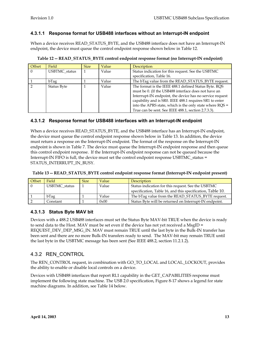#### **4.3.1.1 Response format for USB488 interfaces without an Interrupt-IN endpoint**

When a device receives READ\_STATUS\_BYTE, and the USB488 interface does not have an Interrupt-IN endpoint, the device must queue the control endpoint response shown below in Table 12.

| Offset   | Field         | <b>Size</b> | Value | <b>Description</b>                                                             |
|----------|---------------|-------------|-------|--------------------------------------------------------------------------------|
| $\Omega$ | USBTMC status |             | Value | Status indication for this request. See the USBTMC<br>specification, Table 16. |
|          |               |             |       |                                                                                |
|          | bTag          |             | Value | The bTag value from the READ_STATUS_BYTE request.                              |
|          | Status Byte   |             | Value | The format is the IEEE 488.1 defined Status Byte. RQS                          |
|          |               |             |       | must be 0. (If the USB488 interface does not have an                           |
|          |               |             |       | Interrupt-IN endpoint, the device has no service request                       |
|          |               |             |       | capability and is SR0. IEEE 488.1 requires SR1 to enter                        |
|          |               |             |       | into the APRS state, which is the only state where RQS =                       |
|          |               |             |       | True can be sent. See IEEE 488.1, section 2.7.3.3).                            |

| Table 12 -- READ_STATUS_BYTE control endpoint response format (no Interrupt-IN endpoint) |  |  |
|------------------------------------------------------------------------------------------|--|--|
|------------------------------------------------------------------------------------------|--|--|

#### **4.3.1.2 Response format for USB488 interfaces with an Interrupt-IN endpoint**

When a device receives READ\_STATUS\_BYTE, and the USB488 interface has an Interrupt-IN endpoint, the device must queue the control endpoint response shown below in Table 13. In addition, the device must return a response on the Interrupt-IN endpoint. The format of the response on the Interrupt-IN endpoint is shown in Table 7. The device must queue the Interrupt-IN endpoint response and then queue this control endpoint response. If the Interrupt-IN endpoint response can not be queued because the Interrupt-IN FIFO is full, the device must set the control endpoint response USBTMC\_status  $=$ STATUS\_INTERRUPT\_IN\_BUSY.

| Offset | Field         | <b>Size</b> | Value | Description                                                                                                      |
|--------|---------------|-------------|-------|------------------------------------------------------------------------------------------------------------------|
|        | USBTMC status |             | Value | Status indication for this request. See the USBTMC<br>specification, Table 16, and this specification, Table 10. |
|        | bTag          |             | Value | The bTag value from the READ_STATUS_BYTE request.                                                                |
|        | Constant      |             | 0x00  | Status Byte will be returned on Interrupt-IN endpoint.                                                           |

|  | Table 13 -- READ_STATUS_BYTE control endpoint response format (Interrupt-IN endpoint present) |  |  |  |
|--|-----------------------------------------------------------------------------------------------|--|--|--|
|--|-----------------------------------------------------------------------------------------------|--|--|--|

#### **4.3.1.3 Status Byte MAV bit**

Devices with a 488.2 USB488 interfaces must set the Status Byte MAV-bit TRUE when the device is ready to send data to the Host. MAV must be set even if the device has not yet received a MsgID = REQUEST\_DEV\_DEP\_MSG\_IN. MAV must remain TRUE until the last byte in the Bulk-IN transfer has been sent and there are no more Bulk-IN transfers ready to send. The MAV-bit may remain TRUE until the last byte in the USBTMC message has been sent (See IEEE 488.2, section 11.2.1.2).

# 4.3.2 REN\_CONTROL

The REN\_CONTROL request, in combination with GO\_TO\_LOCAL and LOCAL\_LOCKOUT, provides the ability to enable or disable local controls on a device.

Devices with USB488 interfaces that report RL1 capability in the GET\_CAPABILITIES response must implement the following state machine. The USB 2.0 specification, Figure 8-17 shows a legend for state machine diagrams. In addition, see Table 14 below.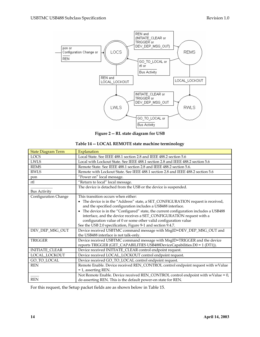

**Figure 2 -- RL state diagram for USB** 

| Table 14 -- LOCAL REMOTE state machine terminology |  |
|----------------------------------------------------|--|
|----------------------------------------------------|--|

| <b>State Diagram Term</b> | Explanation                                                                                                                                                                                                                                                                                       |  |  |  |  |  |
|---------------------------|---------------------------------------------------------------------------------------------------------------------------------------------------------------------------------------------------------------------------------------------------------------------------------------------------|--|--|--|--|--|
| <b>LOCS</b>               | Local State. See IEEE 488.1 section 2.8 and IEEE 488.2 section 5.6                                                                                                                                                                                                                                |  |  |  |  |  |
| <b>LWLS</b>               | Local with Lockout State. See IEEE 488.1 section 2.8 and IEEE 488.2 section 5.6                                                                                                                                                                                                                   |  |  |  |  |  |
| <b>REMS</b>               | Remote State. See IEEE 488.1 section 2.8 and IEEE 488.2 section 5.6.                                                                                                                                                                                                                              |  |  |  |  |  |
| <b>RWLS</b>               | Remote with Lockout State. See IEEE 488.1 section 2.8 and IEEE 488.2 section 5.6                                                                                                                                                                                                                  |  |  |  |  |  |
| pon                       | "Power on" local message.                                                                                                                                                                                                                                                                         |  |  |  |  |  |
| rtl                       | "Return to local" local message.                                                                                                                                                                                                                                                                  |  |  |  |  |  |
| <b>Bus Activity</b>       | The device is detached from the USB or the device is suspended.                                                                                                                                                                                                                                   |  |  |  |  |  |
| Configuration Change      | This transition occurs when either:                                                                                                                                                                                                                                                               |  |  |  |  |  |
|                           | • The device is in the "Address" state, a SET_CONFIGURATION request is received,<br>and the specified configuration includes a USB488 interface.                                                                                                                                                  |  |  |  |  |  |
|                           | The device is in the "Configured" state, the current configuration includes a USB488<br>interface, and the device receives a SET_CONFIGURATION request with a<br>configuration value of 0 or some other valid configuration value<br>See the USB 2.0 specification, Figure 9-1 and section 9.4.7. |  |  |  |  |  |
| DEV_DEP_MSG_OUT           | Device received USBTMC command message with MsgID=DEV_DEP_MSG_OUT and<br>the USB488 interface is not talk-only.                                                                                                                                                                                   |  |  |  |  |  |
| <b>TRIGGER</b>            | Device received USBTMC command message with MsgID=TRIGGER and the device<br>reports TRIGGER (GET_CAPABILITIES USB488DeviceCapabilities.D0 = 1 (DT1)).                                                                                                                                             |  |  |  |  |  |
| <b>INITIATE_CLEAR</b>     | Device received INITIATE_CLEAR control endpoint request.                                                                                                                                                                                                                                          |  |  |  |  |  |
| LOCAL_LOCKOUT             | Device received LOCAL_LOCKOUT control endpoint request.                                                                                                                                                                                                                                           |  |  |  |  |  |
| GO_TO_LOCAL               | Device received GO_TO_LOCAL control endpoint request.                                                                                                                                                                                                                                             |  |  |  |  |  |
| <b>REN</b>                | Remote Enable. Device received REN_CONTROL control endpoint request with wValue<br>$=$ 1, asserting REN.                                                                                                                                                                                          |  |  |  |  |  |
| <b>REN</b>                | Not Remote Enable. Device received REN_CONTROL control endpoint with wValue = 0,<br>de-asserting REN. This is the default power-on state for REN.                                                                                                                                                 |  |  |  |  |  |

For this request, the Setup packet fields are as shown below in Table 15.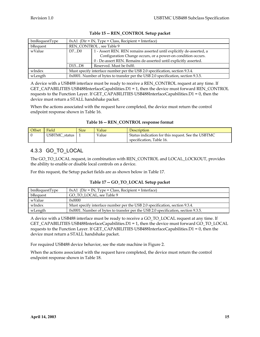| bmRequestType | $0xA1$ (Dir = IN, Type = Class, Recipient = Interface)                            |                                                                      |  |  |  |
|---------------|-----------------------------------------------------------------------------------|----------------------------------------------------------------------|--|--|--|
| bRequest      |                                                                                   | REN_CONTROL, see Table 9                                             |  |  |  |
| wValue        | D7D0                                                                              | 1 - Assert REN. REN remains asserted until explicitly de-asserted, a |  |  |  |
|               |                                                                                   | Configuration Change occurs, or a power-on condition occurs.         |  |  |  |
|               |                                                                                   | 0 - De-assert REN. Remains de-asserted until explicitly asserted.    |  |  |  |
|               | D15D8                                                                             | Reserved. Must be 0x00.                                              |  |  |  |
| wIndex        | Must specify interface number per the USB 2.0 specification, section 9.3.4.       |                                                                      |  |  |  |
| wLength       | 0x0001. Number of bytes to transfer per the USB 2.0 specification, section 9.3.5. |                                                                      |  |  |  |

#### **Table 15 -- REN\_CONTROL Setup packet**

A device with a USB488 interface must be ready to receive a REN\_CONTROL request at any time. If GET\_CAPABILITIES USB488InterfaceCapabilities. $D1 = 1$ , then the device must forward REN\_CONTROL requests to the Function Layer. If GET\_CAPABILITIES USB488InterfaceCapabilities.D1 = 0, then the device must return a STALL handshake packet.

When the actions associated with the request have completed, the device must return the control endpoint response shown in Table 16.

|  |  | Table 16 -- REN_CONTROL response format |
|--|--|-----------------------------------------|
|--|--|-----------------------------------------|

| <b>Offset</b> | Field         | <b>Size</b> | Value | Description                                                                    |
|---------------|---------------|-------------|-------|--------------------------------------------------------------------------------|
|               | USBTMC status |             | Value | Status indication for this request. See the USBTMC<br>specification, Table 16. |

# 4.3.3 GO\_TO\_LOCAL

The GO\_TO\_LOCAL request, in combination with REN\_CONTROL and LOCAL\_LOCKOUT, provides the ability to enable or disable local controls on a device.

For this request, the Setup packet fields are as shown below in Table 17.

| bmRequestType | $0xA1$ (Dir = IN, Type = Class, Recipient = Interface)                               |
|---------------|--------------------------------------------------------------------------------------|
| bRequest      | GO TO LOCAL, see Table 9                                                             |
| wValue        | $0 \times 0000$                                                                      |
| wIndex        | Must specify interface number per the USB 2.0 specification, section 9.3.4.          |
| wLength       | $0x0001$ . Number of bytes to transfer per the USB 2.0 specification, section 9.3.5. |

A device with a USB488 interface must be ready to receive a GO\_TO\_LOCAL request at any time. If GET\_CAPABILITIES USB488InterfaceCapabilities.D1 = 1, then the device must forward GO\_TO\_LOCAL requests to the Function Layer. If GET\_CAPABILITIES USB488InterfaceCapabilities.D1 = 0, then the device must return a STALL handshake packet.

For required USB488 device behavior, see the state machine in Figure 2.

When the actions associated with the request have completed, the device must return the control endpoint response shown in Table 18.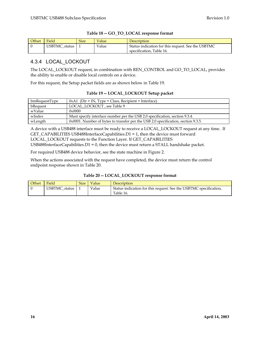| <b>Offset</b> | Field         | <b>Size</b> | Value | Description                                        |
|---------------|---------------|-------------|-------|----------------------------------------------------|
|               | USBTMC status |             | Value | Status indication for this request. See the USBTMC |
|               |               |             |       | specification, Table 16.                           |

#### **Table 18 -- GO\_TO\_LOCAL response format**

# 4.3.4 LOCAL\_LOCKOUT

The LOCAL\_LOCKOUT request, in combination with REN\_CONTROL and GO\_TO\_LOCAL, provides the ability to enable or disable local controls on a device.

For this request, the Setup packet fields are as shown below in Table 19.

#### **Table 19 -- LOCAL\_LOCKOUT Setup packet**

| bmRequestType | $0xA1$ (Dir = IN, Type = Class, Recipient = Interface)                            |
|---------------|-----------------------------------------------------------------------------------|
| bRequest      | LOCAL LOCKOUT, see Table 9                                                        |
| wValue        | $0 \times 0000$                                                                   |
| wIndex        | Must specify interface number per the USB 2.0 specification, section 9.3.4.       |
| wLength       | 0x0001. Number of bytes to transfer per the USB 2.0 specification, section 9.3.5. |

A device with a USB488 interface must be ready to receive a LOCAL\_LOCKOUT request at any time. If GET\_CAPABILITIES USB488InterfaceCapabilities. $D1 = 1$ , then the device must forward LOCAL\_LOCKOUT requests to the Function Layer. If GET\_CAPABILITIES

USB488InterfaceCapabilities. $D1 = 0$ , then the device must return a STALL handshake packet.

For required USB488 device behavior, see the state machine in Figure 2.

When the actions associated with the request have completed, the device must return the control endpoint response shown in Table 20.

#### **Table 20 -- LOCAL\_LOCKOUT response format**

| <b>Offset</b> | Field         | <b>Size</b> | Value | Description                                                       |
|---------------|---------------|-------------|-------|-------------------------------------------------------------------|
|               | USBTMC status |             | Value | Status indication for this request. See the USBTMC specification, |
|               |               |             |       | Table 16.                                                         |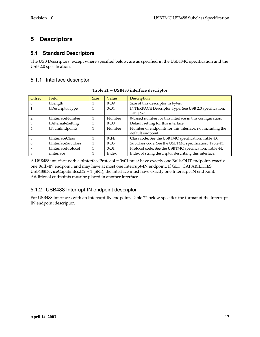# **5 Descriptors**

# **5.1 Standard Descriptors**

The USB Descriptors, except where specified below, are as specified in the USBTMC specification and the USB 2.0 specification.

# 5.1.1 Interface descriptor

| Offset         | Field              | <b>Size</b> | Value  | Description                                               |
|----------------|--------------------|-------------|--------|-----------------------------------------------------------|
| $\Omega$       | bLength            |             | 0x09   | Size of this descriptor in bytes.                         |
|                | bDescriptorType    |             | 0x04   | INTERFACE Descriptor Type. See USB 2.0 specification,     |
|                |                    |             |        | Table 9-5.                                                |
| $\mathcal{P}$  | bInterfaceNumber   |             | Number | 0-based number for this interface in this configuration.  |
| 3              | bAlternateSetting  |             | 0x00   | Default setting for this interface.                       |
| $\overline{4}$ | bNumEndpoints      |             | Number | Number of endpoints for this interface, not including the |
|                |                    |             |        | default endpoint.                                         |
| 5              | bInterfaceClass    |             | 0xFE   | Class code. See the USBTMC specification, Table 43.       |
| 6              | bInterfaceSubClass |             | 0x03   | SubClass code. See the USBTMC specification, Table 43.    |
| 7              | bInterfaceProtocol |             | 0x01   | Protocol code. See the USBTMC specification, Table 44.    |
| 8              | iInterface         |             | Index  | Index of string descriptor describing this interface.     |

| Table 21 -- USB488 interface descriptor |  |  |  |
|-----------------------------------------|--|--|--|
|-----------------------------------------|--|--|--|

A USB488 interface with a bInterfaceProtocol = 0x01 must have exactly one Bulk-OUT endpoint, exactly one Bulk-IN endpoint, and may have at most one Interrupt-IN endpoint. If GET\_CAPABILITIES USB488DeviceCapabilites.D2 = 1 (SR1), the interface must have exactly one Interrupt-IN endpoint. Additional endpoints must be placed in another interface.

# 5.1.2 USB488 Interrupt-IN endpoint descriptor

For USB488 interfaces with an Interrupt-IN endpoint, Table 22 below specifies the format of the Interrupt-IN endpoint descriptor.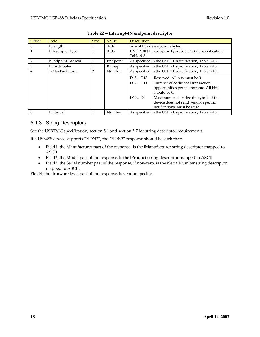| Offset         | Field            | <b>Size</b> | Value    | Description                                                         |
|----------------|------------------|-------------|----------|---------------------------------------------------------------------|
| 0              | bLength          |             | 0x07     | Size of this descriptor in bytes.                                   |
|                | bDescriptorType  | 1           | 0x05     | ENDPOINT Descriptor Type. See USB 2.0 specification,                |
|                |                  |             |          | Table 9-5.                                                          |
| $\overline{2}$ | bEndpointAddress |             | Endpoint | As specified in the USB 2.0 specification, Table 9-13.              |
| 3              | bmAttributes     | 1           | Bitmap   | As specified in the USB 2.0 specification, Table 9-13.              |
| 4              | wMaxPacketSize   | 2           | Number   | As specified in the USB 2.0 specification, Table 9-13.              |
|                |                  |             |          | Reserved. All bits must be 0.<br>D15D13                             |
|                |                  |             |          | D <sub>12</sub> D <sub>11</sub><br>Number of additional transaction |
|                |                  |             |          | opportunities per microframe. All bits                              |
|                |                  |             |          | should be 0.                                                        |
|                |                  |             |          | D10D0<br>Maximum packet size (in bytes). If the                     |
|                |                  |             |          | device does not send vendor specific                                |
|                |                  |             |          | notifications, must be 0x02.                                        |
| 6              | bInterval        |             | Number   | As specified in the USB 2.0 specification, Table 9-13.              |

#### **Table 22 -- Interrupt-IN endpoint descriptor**

### 5.1.3 String Descriptors

See the USBTMC specification, section 5.1 and section 5.7 for string descriptor requirements.

If a USB488 device supports "\*IDN?", the "\*IDN?" response should be such that:

- Field1, the Manufacturer part of the response, is the iManufacturer string descriptor mapped to ASCII.
- Field2, the Model part of the response, is the iProduct string descriptor mapped to ASCII.
- Field3, the Serial number part of the response, if non-zero, is the iSerialNumber string descriptor mapped to ASCII.

Field4, the firmware level part of the response, is vendor specific.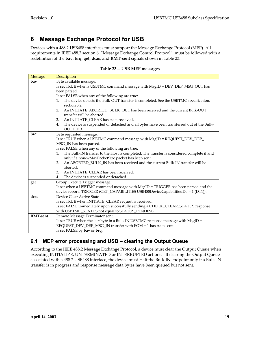# **6 Message Exchange Protocol for USB**

Devices with a 488.2 USB488 interfaces must support the Message Exchange Protocol (MEP). All requirements in IEEE 488.2 section 6, "Message Exchange Control Protocol", must be followed with a redefinition of the **bav**, **brq**, **get**, **dcas**, and **RMT**-**sent** signals shown in Table 23.

#### **Table 23 -- USB MEP messages**

| <b>Message</b>  | Description                                                                                                                         |  |  |  |
|-----------------|-------------------------------------------------------------------------------------------------------------------------------------|--|--|--|
| bay             | Byte available message.                                                                                                             |  |  |  |
|                 | Is set TRUE when a USBTMC command message with MsgID = DEV_DEP_MSG_OUT has                                                          |  |  |  |
|                 | been parsed.                                                                                                                        |  |  |  |
|                 | Is set FALSE when any of the following are true:                                                                                    |  |  |  |
|                 | The device detects the Bulk-OUT transfer is completed. See the USBTMC specification,<br>1.<br>section 3.2.                          |  |  |  |
|                 | An INITIATE_ABORTED_BULK_OUT has been received and the current Bulk-OUT<br>2.                                                       |  |  |  |
|                 | transfer will be aborted.                                                                                                           |  |  |  |
|                 | An INITIATE CLEAR has been received.<br>3.                                                                                          |  |  |  |
|                 | The device is suspended or detached and all bytes have been transferred out of the Bulk-<br>4.<br><b>OUT FIFO.</b>                  |  |  |  |
| brq             | Byte requested message.                                                                                                             |  |  |  |
|                 | Is set TRUE when a USBTMC command message with MsgID = REQUEST_DEV_DEP_                                                             |  |  |  |
|                 | MSG_IN has been parsed.                                                                                                             |  |  |  |
|                 | Is set FALSE when any of the following are true:                                                                                    |  |  |  |
|                 | The Bulk-IN transfer to the Host is completed. The transfer is considered complete if and<br>1.                                     |  |  |  |
|                 | only if a non-wMaxPacketSize packet has been sent.                                                                                  |  |  |  |
|                 | An ABORTED_BULK_IN has been received and the current Bulk-IN transfer will be<br>2.                                                 |  |  |  |
|                 | aborted.                                                                                                                            |  |  |  |
|                 | An INITIATE_CLEAR has been received.<br>3.                                                                                          |  |  |  |
|                 | The device is suspended or detached.<br>4.                                                                                          |  |  |  |
| get             | Group Execute Trigger message.                                                                                                      |  |  |  |
|                 | Is set when a USBTMC command message with MsgID = TRIGGER has been parsed and the                                                   |  |  |  |
|                 | device reports TRIGGER (GET_CAPABILITIES USB488DeviceCapabilities.D0 = 1 (DT1)).                                                    |  |  |  |
| dcas            | Device Clear Active State                                                                                                           |  |  |  |
|                 | Is set TRUE when INITIATE_CLEAR request is received.                                                                                |  |  |  |
|                 | Is set FALSE immediately upon successfully sending a CHECK_CLEAR_STATUS response<br>with USBTMC_STATUS not equal to STATUS_PENDING. |  |  |  |
| <b>RMT-sent</b> | Remote Message Terminator sent.                                                                                                     |  |  |  |
|                 | Is set TRUE when the last byte in a Bulk-IN USBTMC response message with MsgID =                                                    |  |  |  |
|                 | REQUEST_DEV_DEP_MSG_IN transfer with EOM = 1 has been sent.                                                                         |  |  |  |
|                 | Is set FALSE by bay or brq.                                                                                                         |  |  |  |
|                 |                                                                                                                                     |  |  |  |

# **6.1 MEP error processing and USB – clearing the Output Queue**

According to the IEEE 488.2 Message Exchange Protocol, a device must clear the Output Queue when executing INITIALIZE, UNTERMINATED or INTERRUPTED actions. If clearing the Output Queue associated with a 488.2 USB488 interface, the device must Halt the Bulk-IN endpoint only if a Bulk-IN transfer is in progress and response message data bytes have been queued but not sent.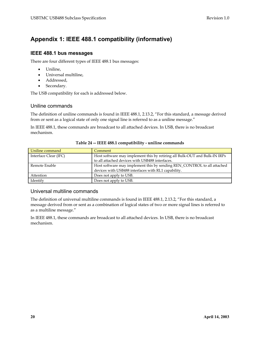# **Appendix 1: IEEE 488.1 compatibility (informative)**

#### **IEEE 488.1 bus messages**

There are four different types of IEEE 488.1 bus messages:

- Uniline,
- Universal multiline,
- Addressed,
- Secondary.

The USB compatibility for each is addressed below.

#### Uniline commands

The definition of uniline commands is found in IEEE 488.1, 2.13.2, "For this standard, a message derived from or sent as a logical state of only one signal line is referred to as a uniline message."

In IEEE 488.1, these commands are broadcast to all attached devices. In USB, there is no broadcast mechanism.

| Uniline command       | Comment                                                                    |  |
|-----------------------|----------------------------------------------------------------------------|--|
| Interface Clear (IFC) | Host software may implement this by retiring all Bulk-OUT and Bulk-IN IRPs |  |
|                       | to all attached devices with USB488 interfaces.                            |  |
| Remote Enable         | Host software may implement this by sending REN_CONTROL to all attached    |  |
|                       | devices with USB488 interfaces with RL1 capability.                        |  |
| Attention             | Does not apply to USB.                                                     |  |
| Identify              | Does not apply to USB.                                                     |  |

#### **Table 24 -- IEEE 488.1 compatibility - uniline commands**

#### Universal multiline commands

The definition of universal multiline commands is found in IEEE 488.1, 2.13.2, "For this standard, a message derived from or sent as a combination of logical states of two or more signal lines is referred to as a multiline message."

In IEEE 488.1, these commands are broadcast to all attached devices. In USB, there is no broadcast mechanism.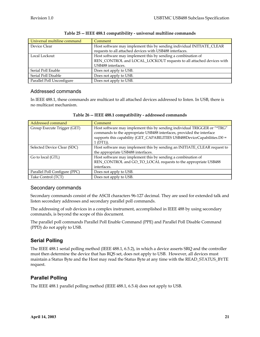| Universal multiline command | Comment                                                                                                                           |
|-----------------------------|-----------------------------------------------------------------------------------------------------------------------------------|
| Device Clear                | Host software may implement this by sending individual INITIATE_CLEAR<br>requests to all attached devices with USB488 interfaces. |
|                             |                                                                                                                                   |
| Local Lockout               | Host software may implement this by sending a combination of                                                                      |
|                             | REN_CONTROL and LOCAL_LOCKOUT requests to all attached devices with                                                               |
|                             | USB488 interfaces.                                                                                                                |
| Serial Poll Enable          | Does not apply to USB.                                                                                                            |
| Serial Poll Disable         | Does not apply to USB.                                                                                                            |
| Parallel Poll Unconfigure   | Does not apply to USB.                                                                                                            |

#### **Table 25 -- IEEE 488.1 compatibility - universal multiline commands**

### Addressed commands

In IEEE 488.1, these commands are multicast to all attached devices addressed to listen. In USB, there is no multicast mechanism.

| Addressed command             | Comment                                                                                                                                                                                                                                      |
|-------------------------------|----------------------------------------------------------------------------------------------------------------------------------------------------------------------------------------------------------------------------------------------|
| Group Execute Trigger (GET)   | Host software may implement this by sending individual TRIGGER or "*TRG"<br>commands to the appropriate USB488 interfaces, provided the interface<br>supports this capability (GET_CAPABILITIES USB488DeviceCapabilities.D0 =<br>$1(DT1)$ ). |
| Selected Device Clear (SDC)   | Host software may implement this by sending an INITIATE_CLEAR request to<br>the appropriate USB488 interfaces.                                                                                                                               |
| Go to local (GTL)             | Host software may implement this by sending a combination of<br>REN_CONTROL and GO_TO_LOCAL requests to the appropriate USB488<br>interfaces.                                                                                                |
| Parallel Poll Configure (PPC) | Does not apply to USB.                                                                                                                                                                                                                       |
| Take Control (TCT)            | Does not apply to USB.                                                                                                                                                                                                                       |

|  | Table 26 -- IEEE 488.1 compatibility - addressed commands |  |
|--|-----------------------------------------------------------|--|
|  |                                                           |  |

### Secondary commands

Secondary commands consist of the ASCII characters 96-127 decimal. They are used for extended talk and listen secondary addresses and secondary parallel poll commands.

The addressing of sub devices in a complex instrument, accomplished in IEEE 488 by using secondary commands, is beyond the scope of this document.

The parallel poll commands Parallel Poll Enable Command (PPE) and Parallel Poll Disable Command (PPD) do not apply to USB.

# **Serial Polling**

The IEEE 488.1 serial polling method (IEEE 488.1, 6.5.2), in which a device asserts SRQ and the controller must then determine the device that has RQS set, does not apply to USB. However, all devices must maintain a Status Byte and the Host may read the Status Byte at any time with the READ\_STATUS\_BYTE request.

# **Parallel Polling**

The IEEE 488.1 parallel polling method (IEEE 488.1, 6.5.4) does not apply to USB.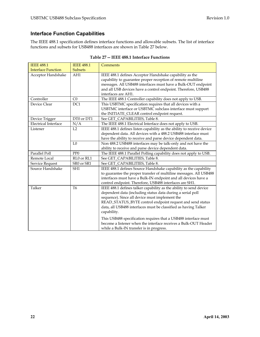# **Interface Function Capabilities**

The IEEE 488.1 specification defines interface functions and allowable subsets. The list of interface functions and subsets for USB488 interfaces are shown in Table 27 below.

| <b>IEEE 488.1</b>         | <b>IEEE 488.1</b> | Comments                                                                                                                                                                                                                                                                                                                          |
|---------------------------|-------------------|-----------------------------------------------------------------------------------------------------------------------------------------------------------------------------------------------------------------------------------------------------------------------------------------------------------------------------------|
| <b>Interface Function</b> | <b>Subsets</b>    |                                                                                                                                                                                                                                                                                                                                   |
| Acceptor Handshake        | AH1               | IEEE 488.1 defines Acceptor Handshake capability as the<br>capability to guarantee proper reception of remote multiline<br>messages. All USB488 interfaces must have a Bulk-OUT endpoint<br>and all USB devices have a control endpoint. Therefore, USB488<br>interfaces are AH1.                                                 |
| Controller                | CO                | The IEEE 488.1 Controller capability does not apply to USB.                                                                                                                                                                                                                                                                       |
| Device Clear              | DC1               | This USBTMC specification requires that all devices with a<br>USBTMC interface or USBTMC subclass interface must support<br>the INITIATE_CLEAR control endpoint request.                                                                                                                                                          |
| Device Trigger            | DT0 or DT1        | See GET_CAPABILITIES, Table 8.                                                                                                                                                                                                                                                                                                    |
| Electrical Interface      | N/A               | The IEEE 488.1 Electrical Interface does not apply to USB.                                                                                                                                                                                                                                                                        |
| Listener                  | L2                | IEEE 488.1 defines listen capability as the ability to receive device<br>dependent data. All devices with a 488.2 USB488 interface must<br>have the ability to receive and parse device dependent data.                                                                                                                           |
|                           | $L_{0}$           | Non 488.2 USB488 interfaces may be talk-only and not have the<br>ability to receive and parse device dependent data.                                                                                                                                                                                                              |
| Parallel Poll             | PP <sub>0</sub>   | The IEEE 488.1 Parallel Polling capability does not apply to USB.                                                                                                                                                                                                                                                                 |
| Remote Local              | RL0 or RL1        | See GET_CAPABILITIES, Table 8.                                                                                                                                                                                                                                                                                                    |
| Service Request           | SR0 or SR1        | See GET_CAPABILITIES, Table 8.                                                                                                                                                                                                                                                                                                    |
| Source Handshake          | SH <sub>1</sub>   | IEEE 488.1 defines Source Handshake capability as the capability<br>to guarantee the proper transfer of multiline messages. All USB488<br>interfaces must have a Bulk-IN endpoint and all devices have a<br>control endpoint. Therefore, USB488 interfaces are SH1.                                                               |
| Talker                    | T <sub>6</sub>    | IEEE 488.1 defines talker capability as the ability to send device<br>dependent data (including status data during a serial poll<br>sequence). Since all device must implement the<br>READ_STATUS_BYTE control endpoint request and send status<br>data, all USB488 interfaces must be classified as having Talker<br>capability. |
|                           |                   | This USB488 specification requires that a USB488 interface must<br>become a listener when the interface receives a Bulk-OUT Header<br>while a Bulk-IN transfer is in progress.                                                                                                                                                    |

| Table 27 -- IEEE 488.1 Interface Functions |
|--------------------------------------------|
|--------------------------------------------|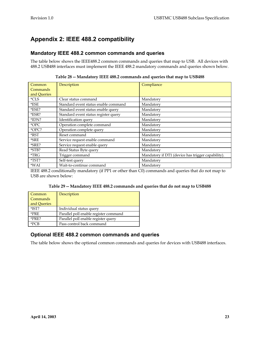# **Appendix 2: IEEE 488.2 compatibility**

### **Mandatory IEEE 488.2 common commands and queries**

The table below shows the IEEE488.2 common commands and queries that map to USB. All devices with 488.2 USB488 interfaces must implement the IEEE 488.2 mandatory commands and queries shown below.

| Common      | Description                          | Compliance                                        |
|-------------|--------------------------------------|---------------------------------------------------|
| Commands    |                                      |                                                   |
| and Queries |                                      |                                                   |
| $*CLS$      | Clear status command                 | Mandatory                                         |
| $*$ ESE     | Standard event status enable command | Mandatory                                         |
| *ESE?       | Standard event status enable query   | Mandatory                                         |
| *ESR?       | Standard event status register query | Mandatory                                         |
| $*IDN?$     | Identification query                 | Mandatory                                         |
| *OPC        | Operation complete command           | Mandatory                                         |
| *OPC?       | Operation complete query             | Mandatory                                         |
| $*$ RST     | Reset command                        | Mandatory                                         |
| *SRE        | Service request enable command       | Mandatory                                         |
| *SRE?       | Service request enable query         | Mandatory                                         |
| *STB?       | Read Status Byte query               | Mandatory                                         |
| $*TRG$      | Trigger command                      | Mandatory if DT1 (device has trigger capability). |
| *TST?       | Self-test query                      | Mandatory                                         |
| $*$ WAI     | Wait-to-continue command             | Mandatory                                         |

**Table 28 -- Mandatory IEEE 488.2 commands and queries that map to USB488** 

IEEE 488.2 conditionally mandatory (if PP1 or other than C0) commands and queries that do not map to USB are shown below:

**Table 29 -- Mandatory IEEE 488.2 commands and queries that do not map to USB488** 

| Common<br>Commands<br>and Queries | Description                           |
|-----------------------------------|---------------------------------------|
| $*$ IST?                          | Individual status query               |
| *PRE                              | Parallel poll enable register command |
| *PRE?                             | Parallel poll enable register query   |
| $*$ PCR                           | Pass control back command             |

# **Optional IEEE 488.2 common commands and queries**

The table below shows the optional common commands and queries for devices with USB488 interfaces.